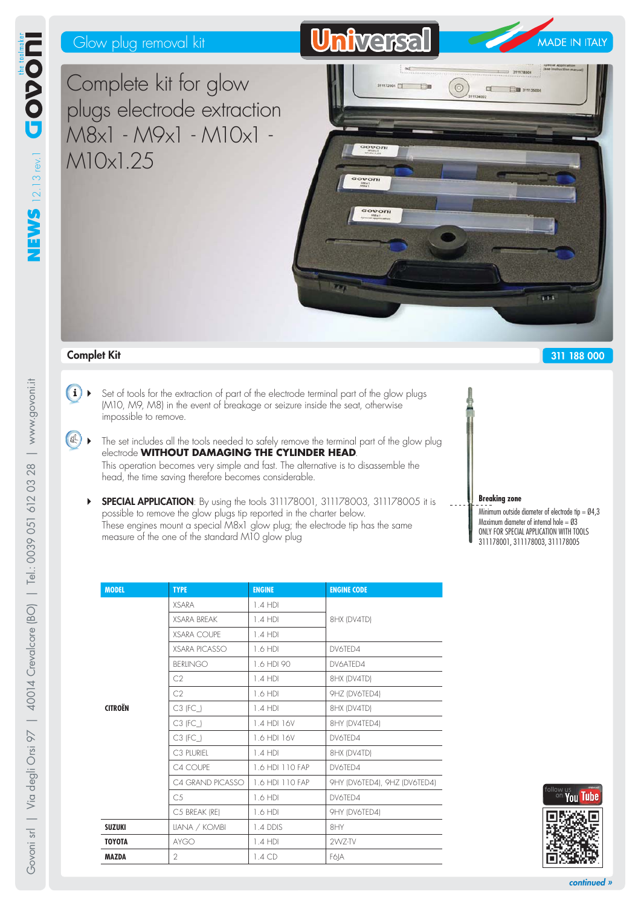# Glow plug removal kit

Complete kit for glow plugs electrode extraction M8x1 - M9x1 - M10x1 - M10x1.25



## **Complet Kit**

- $(i)$  Set of tools for the extraction of part of the electrode terminal part of the glow plugs (M10, M9, M8) in the event of breakage or seizure inside the seat, otherwise impossible to remove.
- $\left\{\mathbb{R}\right\}$   $\blacktriangleright$  The set includes all the tools needed to safely remove the terminal part of the glow plug electrode **WITHOUT DAMAGING THE CYLINDER HEAD**. This operation becomes very simple and fast. The alternative is to disassemble the head, the time saving therefore becomes considerable.
	- **SPECIAL APPLICATION**: By using the tools 311178001, 311178003, 311178005 it is possible to remove the glow plugs tip reported in the charter below. These engines mount a special M8x1 glow plug; the electrode tip has the same measure of the one of the standard M10 glow plug

| <b>MODEL</b>   | <b>TYPE</b>          | <b>ENGINE</b>   | <b>ENGINE CODE</b>           |  |
|----------------|----------------------|-----------------|------------------------------|--|
|                | <b>XSARA</b>         | 1.4 HDI         |                              |  |
|                | <b>XSARA BREAK</b>   | 1.4 HDI         | 8HX (DV4TD)                  |  |
|                | <b>XSARA COUPE</b>   | $1.4$ HDI       |                              |  |
|                | <b>XSARA PICASSO</b> | 1.6 HDI         | DV6TFD4                      |  |
|                | <b>BERLINGO</b>      | 1.6 HDI 90      | DV6ATFD4                     |  |
|                | C2                   | 1.4 HDI         | 8HX (DV4TD)                  |  |
|                | C2                   | 1.6 HDI         | 9HZ (DV6TED4)                |  |
| <b>CITROËN</b> | $C3$ (FC_)           | $1.4$ HDI       | 8HX (DV4TD)                  |  |
|                | $C3$ (FC_)           | 1.4 HDI 16V     | 8HY (DV4TED4)                |  |
|                | $C3$ (FC_)           | 1.6 HDI 16V     | DV6TED4                      |  |
|                | C3 PLURIEL           | $1.4$ HDI       | 8HX (DV4TD)                  |  |
|                | C4 COUPE             | 1.6 HDI 110 FAP | DV6TED4                      |  |
|                | C4 GRAND PICASSO     | 1.6 HDI 110 FAP | 9HY (DV6TED4), 9HZ (DV6TED4) |  |
|                | C <sub>5</sub>       | 1.6 HDI         | DV6TFD4                      |  |
|                | C5 BREAK (RE)        | 1.6 HDI         | 9HY (DV6TED4)                |  |
| <b>SUZUKI</b>  | LIANA / KOMBI        | 1.4 DDIS        | 8HY                          |  |
| <b>TOYOTA</b>  | <b>AYGO</b>          | 1.4 HDI         | 2WZ-TV                       |  |
| <b>MAZDA</b>   | $\overline{2}$       | $1.4$ CD        | F6 A                         |  |

**Breaking zone** Minimum outside diameter of electrode tip = Ø4,3 Maximum diameter of internal hole =  $03$ ONLY FOR SPECIAL APPLICATION WITH TOOLS 311178001, 311178003, 311178005

**311 188 000**



www.govoni.it

Govoni srl | Via degli Orsi 97 | 40014 Crevalcore [BO] | Tel.: 0039 051 612 03 28